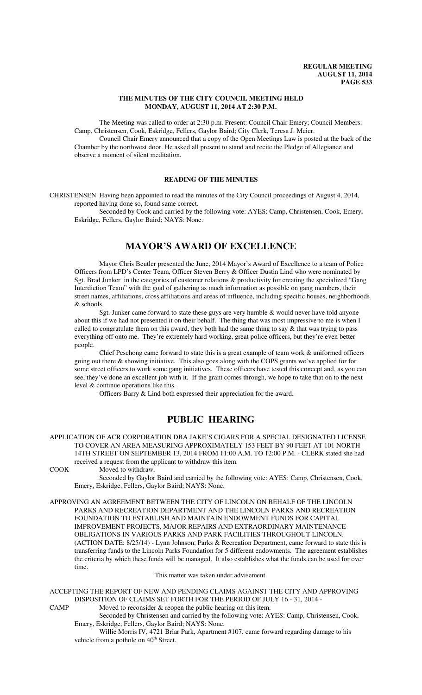### **THE MINUTES OF THE CITY COUNCIL MEETING HELD MONDAY, AUGUST 11, 2014 AT 2:30 P.M.**

The Meeting was called to order at 2:30 p.m. Present: Council Chair Emery; Council Members: Camp, Christensen, Cook, Eskridge, Fellers, Gaylor Baird; City Clerk, Teresa J. Meier.

Council Chair Emery announced that a copy of the Open Meetings Law is posted at the back of the Chamber by the northwest door. He asked all present to stand and recite the Pledge of Allegiance and observe a moment of silent meditation.

## **READING OF THE MINUTES**

CHRISTENSEN Having been appointed to read the minutes of the City Council proceedings of August 4, 2014, reported having done so, found same correct.

Seconded by Cook and carried by the following vote: AYES: Camp, Christensen, Cook, Emery, Eskridge, Fellers, Gaylor Baird; NAYS: None.

## **MAYOR'S AWARD OF EXCELLENCE**

Mayor Chris Beutler presented the June, 2014 Mayor's Award of Excellence to a team of Police Officers from LPD's Center Team, Officer Steven Berry & Officer Dustin Lind who were nominated by Sgt. Brad Junker in the categories of customer relations & productivity for creating the specialized "Gang Interdiction Team" with the goal of gathering as much information as possible on gang members, their street names, affiliations, cross affiliations and areas of influence, including specific houses, neighborhoods & schools.

Sgt. Junker came forward to state these guys are very humble & would never have told anyone about this if we had not presented it on their behalf. The thing that was most impressive to me is when I called to congratulate them on this award, they both had the same thing to say  $\&$  that was trying to pass everything off onto me. They're extremely hard working, great police officers, but they're even better people.

Chief Peschong came forward to state this is a great example of team work & uniformed officers going out there & showing initiative. This also goes along with the COPS grants we've applied for for some street officers to work some gang initiatives. These officers have tested this concept and, as you can see, they've done an excellent job with it. If the grant comes through, we hope to take that on to the next level & continue operations like this.

Officers Barry & Lind both expressed their appreciation for the award.

## **PUBLIC HEARING**

APPLICATION OF ACR CORPORATION DBA JAKE'S CIGARS FOR A SPECIAL DESIGNATED LICENSE TO COVER AN AREA MEASURING APPROXIMATELY 153 FEET BY 90 FEET AT 101 NORTH 14TH STREET ON SEPTEMBER 13, 2014 FROM 11:00 A.M. TO 12:00 P.M. - CLERK stated she had received a request from the applicant to withdraw this item.

COOK Moved to withdraw.

Seconded by Gaylor Baird and carried by the following vote: AYES: Camp, Christensen, Cook, Emery, Eskridge, Fellers, Gaylor Baird; NAYS: None.

APPROVING AN AGREEMENT BETWEEN THE CITY OF LINCOLN ON BEHALF OF THE LINCOLN PARKS AND RECREATION DEPARTMENT AND THE LINCOLN PARKS AND RECREATION FOUNDATION TO ESTABLISH AND MAINTAIN ENDOWMENT FUNDS FOR CAPITAL IMPROVEMENT PROJECTS, MAJOR REPAIRS AND EXTRAORDINARY MAINTENANCE OBLIGATIONS IN VARIOUS PARKS AND PARK FACILITIES THROUGHOUT LINCOLN. (ACTION DATE: 8/25/14) - Lynn Johnson, Parks & Recreation Department, came forward to state this is transferring funds to the Lincoln Parks Foundation for 5 different endowments. The agreement establishes the criteria by which these funds will be managed. It also establishes what the funds can be used for over time.

This matter was taken under advisement.

ACCEPTING THE REPORT OF NEW AND PENDING CLAIMS AGAINST THE CITY AND APPROVING DISPOSITION OF CLAIMS SET FORTH FOR THE PERIOD OF JULY 16 - 31, 2014 - CAMP Moved to reconsider  $\&$  reopen the public hearing on this item.

Seconded by Christensen and carried by the following vote: AYES: Camp, Christensen, Cook, Emery, Eskridge, Fellers, Gaylor Baird; NAYS: None.

Willie Morris IV, 4721 Briar Park, Apartment #107, came forward regarding damage to his vehicle from a pothole on 40<sup>th</sup> Street.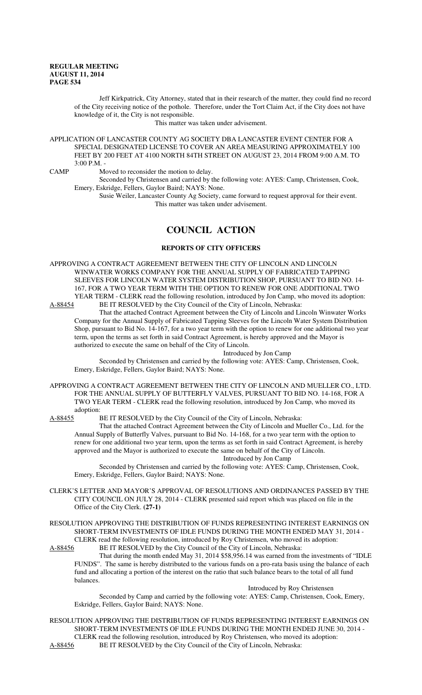Jeff Kirkpatrick, City Attorney, stated that in their research of the matter, they could find no record of the City receiving notice of the pothole. Therefore, under the Tort Claim Act, if the City does not have knowledge of it, the City is not responsible.

This matter was taken under advisement.

APPLICATION OF LANCASTER COUNTY AG SOCIETY DBA LANCASTER EVENT CENTER FOR A SPECIAL DESIGNATED LICENSE TO COVER AN AREA MEASURING APPROXIMATELY 100 FEET BY 200 FEET AT 4100 NORTH 84TH STREET ON AUGUST 23, 2014 FROM 9:00 A.M. TO  $3:00 \text{ P M}$ .

CAMP Moved to reconsider the motion to delay.

Seconded by Christensen and carried by the following vote: AYES: Camp, Christensen, Cook, Emery, Eskridge, Fellers, Gaylor Baird; NAYS: None.

Susie Weiler, Lancaster County Ag Society, came forward to request approval for their event. This matter was taken under advisement.

# **COUNCIL ACTION**

### **REPORTS OF CITY OFFICERS**

APPROVING A CONTRACT AGREEMENT BETWEEN THE CITY OF LINCOLN AND LINCOLN WINWATER WORKS COMPANY FOR THE ANNUAL SUPPLY OF FABRICATED TAPPING SLEEVES FOR LINCOLN WATER SYSTEM DISTRIBUTION SHOP, PURSUANT TO BID NO. 14- 167, FOR A TWO YEAR TERM WITH THE OPTION TO RENEW FOR ONE ADDITIONAL TWO YEAR TERM - CLERK read the following resolution, introduced by Jon Camp, who moved its adoption:<br>A-88454 BE IT RESOLVED by the City Council of the City of Lincoln, Nebraska:

BE IT RESOLVED by the City Council of the City of Lincoln, Nebraska:

That the attached Contract Agreement between the City of Lincoln and Lincoln Winwater Works Company for the Annual Supply of Fabricated Tapping Sleeves for the Lincoln Water System Distribution Shop, pursuant to Bid No. 14-167, for a two year term with the option to renew for one additional two year term, upon the terms as set forth in said Contract Agreement, is hereby approved and the Mayor is authorized to execute the same on behalf of the City of Lincoln.

Introduced by Jon Camp

Seconded by Christensen and carried by the following vote: AYES: Camp, Christensen, Cook, Emery, Eskridge, Fellers, Gaylor Baird; NAYS: None.

APPROVING A CONTRACT AGREEMENT BETWEEN THE CITY OF LINCOLN AND MUELLER CO., LTD. FOR THE ANNUAL SUPPLY OF BUTTERFLY VALVES, PURSUANT TO BID NO. 14-168, FOR A TWO YEAR TERM - CLERK read the following resolution, introduced by Jon Camp, who moved its adoption:<br>A-88455 H

BE IT RESOLVED by the City Council of the City of Lincoln, Nebraska:

That the attached Contract Agreement between the City of Lincoln and Mueller Co., Ltd. for the Annual Supply of Butterfly Valves, pursuant to Bid No. 14-168, for a two year term with the option to renew for one additional two year term, upon the terms as set forth in said Contract Agreement, is hereby approved and the Mayor is authorized to execute the same on behalf of the City of Lincoln. Introduced by Jon Camp

Seconded by Christensen and carried by the following vote: AYES: Camp, Christensen, Cook, Emery, Eskridge, Fellers, Gaylor Baird; NAYS: None.

CLERK'S LETTER AND MAYOR'S APPROVAL OF RESOLUTIONS AND ORDINANCES PASSED BY THE CITY COUNCIL ON JULY 28, 2014 - CLERK presented said report which was placed on file in the Office of the City Clerk. **(27-1)**

RESOLUTION APPROVING THE DISTRIBUTION OF FUNDS REPRESENTING INTEREST EARNINGS ON SHORT-TERM INVESTMENTS OF IDLE FUNDS DURING THE MONTH ENDED MAY 31, 2014 - CLERK read the following resolution, introduced by Roy Christensen, who moved its adoption:<br>A-88456 BE IT RESOLVED by the City Council of the City of Lincoln, Nebraska:

BE IT RESOLVED by the City Council of the City of Lincoln, Nebraska:

That during the month ended May 31, 2014 \$58,956.14 was earned from the investments of "IDLE FUNDS". The same is hereby distributed to the various funds on a pro-rata basis using the balance of each fund and allocating a portion of the interest on the ratio that such balance bears to the total of all fund balances.

### Introduced by Roy Christensen

Seconded by Camp and carried by the following vote: AYES: Camp, Christensen, Cook, Emery, Eskridge, Fellers, Gaylor Baird; NAYS: None.

RESOLUTION APPROVING THE DISTRIBUTION OF FUNDS REPRESENTING INTEREST EARNINGS ON SHORT-TERM INVESTMENTS OF IDLE FUNDS DURING THE MONTH ENDED JUNE 30, 2014 - CLERK read the following resolution, introduced by Roy Christensen, who moved its adoption:<br>A-88456 BE IT RESOLVED by the City Council of the City of Lincoln, Nebraska: BE IT RESOLVED by the City Council of the City of Lincoln, Nebraska: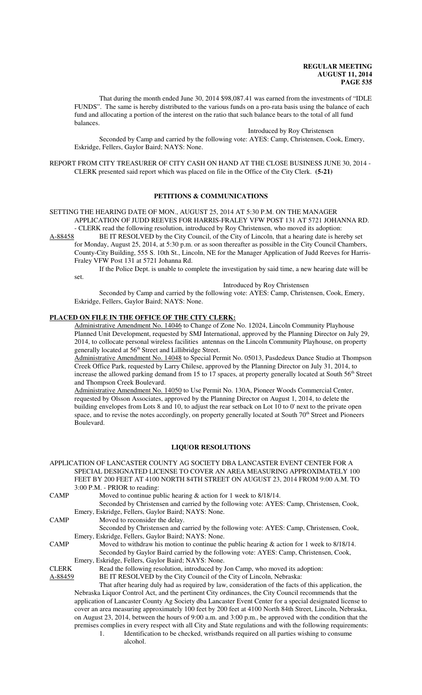That during the month ended June 30, 2014 \$98,087.41 was earned from the investments of "IDLE FUNDS". The same is hereby distributed to the various funds on a pro-rata basis using the balance of each fund and allocating a portion of the interest on the ratio that such balance bears to the total of all fund balances.

Introduced by Roy Christensen

Seconded by Camp and carried by the following vote: AYES: Camp, Christensen, Cook, Emery, Eskridge, Fellers, Gaylor Baird; NAYS: None.

REPORT FROM CITY TREASURER OF CITY CASH ON HAND AT THE CLOSE BUSINESS JUNE 30, 2014 - CLERK presented said report which was placed on file in the Office of the City Clerk. **(5-21)**

## **PETITIONS & COMMUNICATIONS**

SETTING THE HEARING DATE OF MON., AUGUST 25, 2014 AT 5:30 P.M. ON THE MANAGER APPLICATION OF JUDD REEVES FOR HARRIS-FRALEY VFW POST 131 AT 5721 JOHANNA RD. - CLERK read the following resolution, introduced by Roy Christensen, who moved its adoption:

A-88458 BE IT RESOLVED by the City Council, of the City of Lincoln, that a hearing date is hereby set for Monday, August 25, 2014, at 5:30 p.m. or as soon thereafter as possible in the City Council Chambers, County-City Building, 555 S. 10th St., Lincoln, NE for the Manager Application of Judd Reeves for Harris-Fraley VFW Post 131 at 5721 Johanna Rd.

If the Police Dept. is unable to complete the investigation by said time, a new hearing date will be set.

Introduced by Roy Christensen

Seconded by Camp and carried by the following vote: AYES: Camp, Christensen, Cook, Emery, Eskridge, Fellers, Gaylor Baird; NAYS: None.

## **PLACED ON FILE IN THE OFFICE OF THE CITY CLERK:**

Administrative Amendment No. 14046 to Change of Zone No. 12024, Lincoln Community Playhouse Planned Unit Development, requested by SMJ International, approved by the Planning Director on July 29, 2014, to collocate personal wireless facilities antennas on the Lincoln Community Playhouse, on property generally located at 56<sup>th</sup> Street and Lillibridge Street.

Administrative Amendment No. 14048 to Special Permit No. 05013, Pasdedeux Dance Studio at Thompson Creek Office Park, requested by Larry Chilese, approved by the Planning Director on July 31, 2014, to increase the allowed parking demand from 15 to 17 spaces, at property generally located at South 56<sup>th</sup> Street and Thompson Creek Boulevard.

Administrative Amendment No. 14050 to Use Permit No. 130A, Pioneer Woods Commercial Center, requested by Olsson Associates, approved by the Planning Director on August 1, 2014, to delete the building envelopes from Lots 8 and 10, to adjust the rear setback on Lot 10 to 0' next to the private open space, and to revise the notes accordingly, on property generally located at South 70<sup>th</sup> Street and Pioneers Boulevard.

### **LIQUOR RESOLUTIONS**

APPLICATION OF LANCASTER COUNTY AG SOCIETY DBA LANCASTER EVENT CENTER FOR A SPECIAL DESIGNATED LICENSE TO COVER AN AREA MEASURING APPROXIMATELY 100 FEET BY 200 FEET AT 4100 NORTH 84TH STREET ON AUGUST 23, 2014 FROM 9:00 A.M. TO 3:00 P.M. - PRIOR to reading: CAMP Moved to continue public hearing & action for 1 week to 8/18/14. Seconded by Christensen and carried by the following vote: AYES: Camp, Christensen, Cook, Emery, Eskridge, Fellers, Gaylor Baird; NAYS: None. CAMP Moved to reconsider the delay. Seconded by Christensen and carried by the following vote: AYES: Camp, Christensen, Cook, Emery, Eskridge, Fellers, Gaylor Baird; NAYS: None. CAMP Moved to withdraw his motion to continue the public hearing & action for 1 week to 8/18/14. Seconded by Gaylor Baird carried by the following vote: AYES: Camp, Christensen, Cook, Emery, Eskridge, Fellers, Gaylor Baird; NAYS: None. CLERK Read the following resolution, introduced by Jon Camp, who moved its adoption:

A-88459 BE IT RESOLVED by the City Council of the City of Lincoln, Nebraska:

That after hearing duly had as required by law, consideration of the facts of this application, the Nebraska Liquor Control Act, and the pertinent City ordinances, the City Council recommends that the application of Lancaster County Ag Society dba Lancaster Event Center for a special designated license to cover an area measuring approximately 100 feet by 200 feet at 4100 North 84th Street, Lincoln, Nebraska, on August 23, 2014, between the hours of 9:00 a.m. and 3:00 p.m., be approved with the condition that the premises complies in every respect with all City and State regulations and with the following requirements:

1. Identification to be checked, wristbands required on all parties wishing to consume alcohol.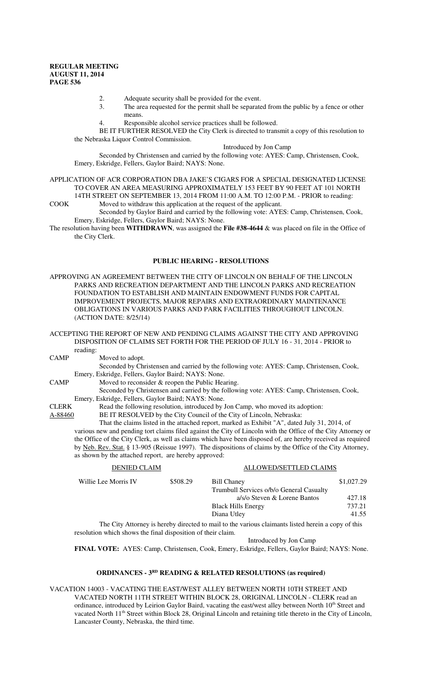- 2. Adequate security shall be provided for the event.
- 3. The area requested for the permit shall be separated from the public by a fence or other means.
- 4. Responsible alcohol service practices shall be followed.

BE IT FURTHER RESOLVED the City Clerk is directed to transmit a copy of this resolution to the Nebraska Liquor Control Commission.

Introduced by Jon Camp

Seconded by Christensen and carried by the following vote: AYES: Camp, Christensen, Cook, Emery, Eskridge, Fellers, Gaylor Baird; NAYS: None.

APPLICATION OF ACR CORPORATION DBA JAKE'S CIGARS FOR A SPECIAL DESIGNATED LICENSE TO COVER AN AREA MEASURING APPROXIMATELY 153 FEET BY 90 FEET AT 101 NORTH 14TH STREET ON SEPTEMBER 13, 2014 FROM 11:00 A.M. TO 12:00 P.M. - PRIOR to reading:

COOK Moved to withdraw this application at the request of the applicant.

Seconded by Gaylor Baird and carried by the following vote: AYES: Camp, Christensen, Cook, Emery, Eskridge, Fellers, Gaylor Baird; NAYS: None.

The resolution having been **WITHDRAWN**, was assigned the **File #38-4644** & was placed on file in the Office of the City Clerk.

### **PUBLIC HEARING - RESOLUTIONS**

APPROVING AN AGREEMENT BETWEEN THE CITY OF LINCOLN ON BEHALF OF THE LINCOLN PARKS AND RECREATION DEPARTMENT AND THE LINCOLN PARKS AND RECREATION FOUNDATION TO ESTABLISH AND MAINTAIN ENDOWMENT FUNDS FOR CAPITAL IMPROVEMENT PROJECTS, MAJOR REPAIRS AND EXTRAORDINARY MAINTENANCE OBLIGATIONS IN VARIOUS PARKS AND PARK FACILITIES THROUGHOUT LINCOLN. (ACTION DATE: 8/25/14)

ACCEPTING THE REPORT OF NEW AND PENDING CLAIMS AGAINST THE CITY AND APPROVING DISPOSITION OF CLAIMS SET FORTH FOR THE PERIOD OF JULY 16 - 31, 2014 - PRIOR to reading:

CAMP Moved to adopt.

Seconded by Christensen and carried by the following vote: AYES: Camp, Christensen, Cook, Emery, Eskridge, Fellers, Gaylor Baird; NAYS: None.

CAMP Moved to reconsider & reopen the Public Hearing.

Seconded by Christensen and carried by the following vote: AYES: Camp, Christensen, Cook, Emery, Eskridge, Fellers, Gaylor Baird; NAYS: None.

CLERK Read the following resolution, introduced by Jon Camp, who moved its adoption:

A-88460 BE IT RESOLVED by the City Council of the City of Lincoln, Nebraska:

That the claims listed in the attached report, marked as Exhibit "A", dated July 31, 2014, of various new and pending tort claims filed against the City of Lincoln with the Office of the City Attorney or the Office of the City Clerk, as well as claims which have been disposed of, are hereby received as required by Neb. Rev. Stat. § 13-905 (Reissue 1997). The dispositions of claims by the Office of the City Attorney, as shown by the attached report, are hereby approved:

| <b>DENIED CLAIM</b>  |          | ALLOWED/SETTLED CLAIMS                                                                             |            |
|----------------------|----------|----------------------------------------------------------------------------------------------------|------------|
| Willie Lee Morris IV | \$508.29 | <b>Bill Chaney</b>                                                                                 | \$1,027.29 |
|                      |          | Trumbull Services o/b/o General Casualty                                                           |            |
|                      |          | a/s/o Steven & Lorene Bantos                                                                       | 427.18     |
|                      |          | <b>Black Hills Energy</b>                                                                          | 737.21     |
|                      |          | Diana Utley                                                                                        | 41.55      |
|                      |          | The City Attorney is hereby directed to mail to the various claimants listed herein a copy of this |            |

resolution which shows the final disposition of their claim.

Introduced by Jon Camp

**FINAL VOTE:** AYES: Camp, Christensen, Cook, Emery, Eskridge, Fellers, Gaylor Baird; NAYS: None.

## **ORDINANCES - 3<sup>RD</sup>** READING & RELATED RESOLUTIONS (as required)

VACATION 14003 - VACATING THE EAST/WEST ALLEY BETWEEN NORTH 10TH STREET AND VACATED NORTH 11TH STREET WITHIN BLOCK 28, ORIGINAL LINCOLN - CLERK read an ordinance, introduced by Leirion Gaylor Baird, vacating the east/west alley between North 10<sup>th</sup> Street and vacated North  $11<sup>th</sup>$  Street within Block 28, Original Lincoln and retaining title thereto in the City of Lincoln, Lancaster County, Nebraska, the third time.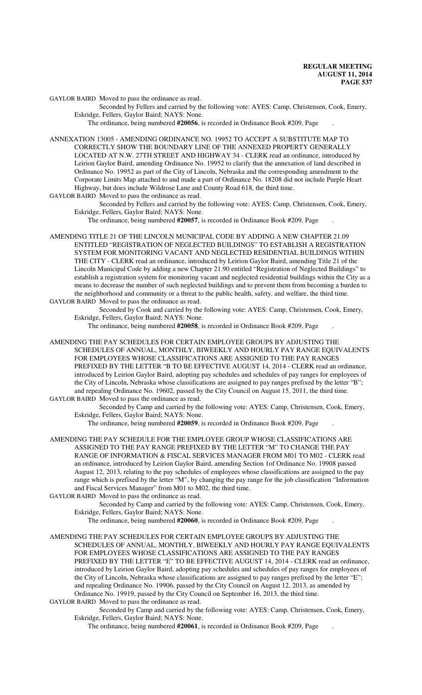GAYLOR BAIRD Moved to pass the ordinance as read.

Seconded by Fellers and carried by the following vote: AYES: Camp, Christensen, Cook, Emery, Eskridge, Fellers, Gaylor Baird; NAYS: None.

The ordinance, being numbered **#20056**, is recorded in Ordinance Book #209, Page .

ANNEXATION 13005 - AMENDING ORDINANCE NO. 19952 TO ACCEPT A SUBSTITUTE MAP TO CORRECTLY SHOW THE BOUNDARY LINE OF THE ANNEXED PROPERTY GENERALLY LOCATED AT N.W. 27TH STREET AND HIGHWAY 34 - CLERK read an ordinance, introduced by Leirion Gaylor Baird, amending Ordinance No. 19952 to clarify that the annexation of land described in Ordinance No. 19952 as part of the City of Lincoln, Nebraska and the corresponding amendment to the Corporate Limits Map attached to and made a part of Ordinance No. 18208 did not include Purple Heart Highway, but does include Wildrose Lane and County Road 618, the third time.

GAYLOR BAIRD Moved to pass the ordinance as read.

Seconded by Fellers and carried by the following vote: AYES: Camp, Christensen, Cook, Emery, Eskridge, Fellers, Gaylor Baird; NAYS: None.

The ordinance, being numbered **#20057**, is recorded in Ordinance Book #209, Page .

- AMENDING TITLE 21 OF THE LINCOLN MUNICIPAL CODE BY ADDING A NEW CHAPTER 21.09 ENTITLED "REGISTRATION OF NEGLECTED BUILDINGS" TO ESTABLISH A REGISTRATION SYSTEM FOR MONITORING VACANT AND NEGLECTED RESIDENTIAL BUILDINGS WITHIN THE CITY - CLERK read an ordinance, introduced by Leirion Gaylor Baird, amending Title 21 of the Lincoln Municipal Code by adding a new Chapter 21.90 entitled "Registration of Neglected Buildings" to establish a registration system for monitoring vacant and neglected residential buildings within the City as a means to decrease the number of such neglected buildings and to prevent them from becoming a burden to the neighborhood and community or a threat to the public health, safety, and welfare, the third time.
- GAYLOR BAIRD Moved to pass the ordinance as read.

Seconded by Cook and carried by the following vote: AYES: Camp, Christensen, Cook, Emery, Eskridge, Fellers, Gaylor Baird; NAYS: None.

The ordinance, being numbered **#20058**, is recorded in Ordinance Book #209, Page .

AMENDING THE PAY SCHEDULES FOR CERTAIN EMPLOYEE GROUPS BY ADJUSTING THE SCHEDULES OF ANNUAL, MONTHLY, BIWEEKLY AND HOURLY PAY RANGE EQUIVALENTS FOR EMPLOYEES WHOSE CLASSIFICATIONS ARE ASSIGNED TO THE PAY RANGES PREFIXED BY THE LETTER "B TO BE EFFECTIVE AUGUST 14, 2014 - CLERK read an ordinance, introduced by Leirion Gaylor Baird, adopting pay schedules and schedules of pay ranges for employees of the City of Lincoln, Nebraska whose classifications are assigned to pay ranges prefixed by the letter "B"; and repealing Ordinance No. 19602, passed by the City Council on August 15, 2011, the third time. GAYLOR BAIRD Moved to pass the ordinance as read.

Seconded by Camp and carried by the following vote: AYES: Camp, Christensen, Cook, Emery, Eskridge, Fellers, Gaylor Baird; NAYS: None.

The ordinance, being numbered **#20059**, is recorded in Ordinance Book #209, Page .

AMENDING THE PAY SCHEDULE FOR THE EMPLOYEE GROUP WHOSE CLASSIFICATIONS ARE ASSIGNED TO THE PAY RANGE PREFIXED BY THE LETTER "M" TO CHANGE THE PAY RANGE OF INFORMATION & FISCAL SERVICES MANAGER FROM M01 TO M02 - CLERK read an ordinance, introduced by Leirion Gaylor Baird, amending Section 1of Ordinance No. 19908 passed August 12, 2013, relating to the pay schedules of employees whose classifications are assigned to the pay range which is prefixed by the letter "M", by changing the pay range for the job classification "Information and Fiscal Services Manager" from M01 to M02, the third time.

GAYLOR BAIRD Moved to pass the ordinance as read.

Seconded by Camp and carried by the following vote: AYES: Camp, Christensen, Cook, Emery, Eskridge, Fellers, Gaylor Baird; NAYS: None.

The ordinance, being numbered **#20060**, is recorded in Ordinance Book #209, Page .

AMENDING THE PAY SCHEDULES FOR CERTAIN EMPLOYEE GROUPS BY ADJUSTING THE SCHEDULES OF ANNUAL, MONTHLY, BIWEEKLY AND HOURLY PAY RANGE EQUIVALENTS FOR EMPLOYEES WHOSE CLASSIFICATIONS ARE ASSIGNED TO THE PAY RANGES PREFIXED BY THE LETTER "E" TO BE EFFECTIVE AUGUST 14, 2014 - CLERK read an ordinance, introduced by Leirion Gaylor Baird, adopting pay schedules and schedules of pay ranges for employees of the City of Lincoln, Nebraska whose classifications are assigned to pay ranges prefixed by the letter "E"; and repealing Ordinance No. 19906, passed by the City Council on August 12, 2013, as amended by Ordinance No. 19919, passed by the City Council on September 16, 2013, the third time.

GAYLOR BAIRD Moved to pass the ordinance as read.

Seconded by Camp and carried by the following vote: AYES: Camp, Christensen, Cook, Emery, Eskridge, Fellers, Gaylor Baird; NAYS: None.

The ordinance, being numbered **#20061**, is recorded in Ordinance Book #209, Page .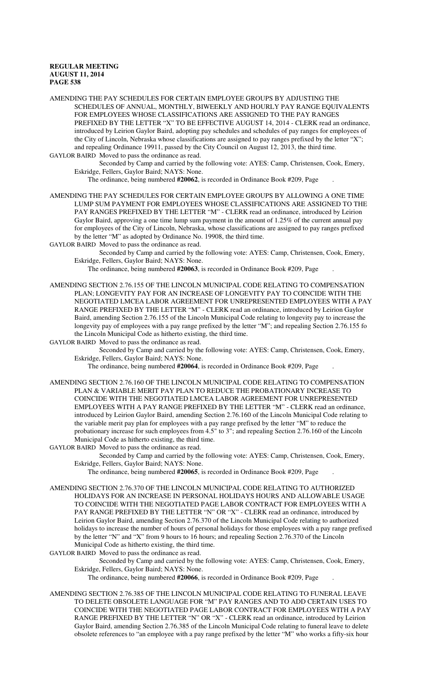AMENDING THE PAY SCHEDULES FOR CERTAIN EMPLOYEE GROUPS BY ADJUSTING THE SCHEDULES OF ANNUAL, MONTHLY, BIWEEKLY AND HOURLY PAY RANGE EQUIVALENTS FOR EMPLOYEES WHOSE CLASSIFICATIONS ARE ASSIGNED TO THE PAY RANGES PREFIXED BY THE LETTER "X" TO BE EFFECTIVE AUGUST 14, 2014 - CLERK read an ordinance, introduced by Leirion Gaylor Baird, adopting pay schedules and schedules of pay ranges for employees of the City of Lincoln, Nebraska whose classifications are assigned to pay ranges prefixed by the letter "X"; and repealing Ordinance 19911, passed by the City Council on August 12, 2013, the third time. GAYLOR BAIRD Moved to pass the ordinance as read.

Seconded by Camp and carried by the following vote: AYES: Camp, Christensen, Cook, Emery, Eskridge, Fellers, Gaylor Baird; NAYS: None.

The ordinance, being numbered **#20062**, is recorded in Ordinance Book #209, Page .

AMENDING THE PAY SCHEDULES FOR CERTAIN EMPLOYEE GROUPS BY ALLOWING A ONE TIME LUMP SUM PAYMENT FOR EMPLOYEES WHOSE CLASSIFICATIONS ARE ASSIGNED TO THE PAY RANGES PREFIXED BY THE LETTER "M" - CLERK read an ordinance, introduced by Leirion Gaylor Baird, approving a one time lump sum payment in the amount of 1.25% of the current annual pay for employees of the City of Lincoln, Nebraska, whose classifications are assigned to pay ranges prefixed by the letter "M" as adopted by Ordinance No. 19908, the third time.

GAYLOR BAIRD Moved to pass the ordinance as read.

Seconded by Camp and carried by the following vote: AYES: Camp, Christensen, Cook, Emery, Eskridge, Fellers, Gaylor Baird; NAYS: None.

The ordinance, being numbered **#20063**, is recorded in Ordinance Book #209, Page .

AMENDING SECTION 2.76.155 OF THE LINCOLN MUNICIPAL CODE RELATING TO COMPENSATION PLAN; LONGEVITY PAY FOR AN INCREASE OF LONGEVITY PAY TO COINCIDE WITH THE NEGOTIATED LMCEA LABOR AGREEMENT FOR UNREPRESENTED EMPLOYEES WITH A PAY RANGE PREFIXED BY THE LETTER "M" - CLERK read an ordinance, introduced by Leirion Gaylor Baird, amending Section 2.76.155 of the Lincoln Municipal Code relating to longevity pay to increase the longevity pay of employees with a pay range prefixed by the letter "M"; and repealing Section 2.76.155 fo the Lincoln Municipal Code as hitherto existing, the third time.

GAYLOR BAIRD Moved to pass the ordinance as read.

Seconded by Camp and carried by the following vote: AYES: Camp, Christensen, Cook, Emery, Eskridge, Fellers, Gaylor Baird; NAYS: None.

The ordinance, being numbered **#20064**, is recorded in Ordinance Book #209, Page .

- AMENDING SECTION 2.76.160 OF THE LINCOLN MUNICIPAL CODE RELATING TO COMPENSATION PLAN & VARIABLE MERIT PAY PLAN TO REDUCE THE PROBATIONARY INCREASE TO COINCIDE WITH THE NEGOTIATED LMCEA LABOR AGREEMENT FOR UNREPRESENTED EMPLOYEES WITH A PAY RANGE PREFIXED BY THE LETTER "M" - CLERK read an ordinance, introduced by Leirion Gaylor Baird, amending Section 2.76.160 of the Lincoln Municipal Code relating to the variable merit pay plan for employees with a pay range prefixed by the letter "M" to reduce the probationary increase for such employees from 4.5" to 3"; and repealing Section 2.76.160 of the Lincoln Municipal Code as hitherto existing, the third time.
- GAYLOR BAIRD Moved to pass the ordinance as read.

Seconded by Camp and carried by the following vote: AYES: Camp, Christensen, Cook, Emery, Eskridge, Fellers, Gaylor Baird; NAYS: None.

The ordinance, being numbered **#20065**, is recorded in Ordinance Book #209, Page .

- AMENDING SECTION 2.76.370 OF THE LINCOLN MUNICIPAL CODE RELATING TO AUTHORIZED HOLIDAYS FOR AN INCREASE IN PERSONAL HOLIDAYS HOURS AND ALLOWABLE USAGE TO COINCIDE WITH THE NEGOTIATED PAGE LABOR CONTRACT FOR EMPLOYEES WITH A PAY RANGE PREFIXED BY THE LETTER "N" OR "X" - CLERK read an ordinance, introduced by Leirion Gaylor Baird, amending Section 2.76.370 of the Lincoln Municipal Code relating to authorized holidays to increase the number of hours of personal holidays for those employees with a pay range prefixed by the letter "N" and "X" from 9 hours to 16 hours; and repealing Section 2.76.370 of the Lincoln Municipal Code as hitherto existing, the third time.
- GAYLOR BAIRD Moved to pass the ordinance as read.

Seconded by Camp and carried by the following vote: AYES: Camp, Christensen, Cook, Emery, Eskridge, Fellers, Gaylor Baird; NAYS: None.

The ordinance, being numbered **#20066**, is recorded in Ordinance Book #209, Page .

AMENDING SECTION 2.76.385 OF THE LINCOLN MUNICIPAL CODE RELATING TO FUNERAL LEAVE TO DELETE OBSOLETE LANGUAGE FOR "M" PAY RANGES AND TO ADD CERTAIN USES TO COINCIDE WITH THE NEGOTIATED PAGE LABOR CONTRACT FOR EMPLOYEES WITH A PAY RANGE PREFIXED BY THE LETTER "N" OR "X" - CLERK read an ordinance, introduced by Leirion Gaylor Baird, amending Section 2.76.385 of the Lincoln Municipal Code relating to funeral leave to delete obsolete references to "an employee with a pay range prefixed by the letter "M" who works a fifty-six hour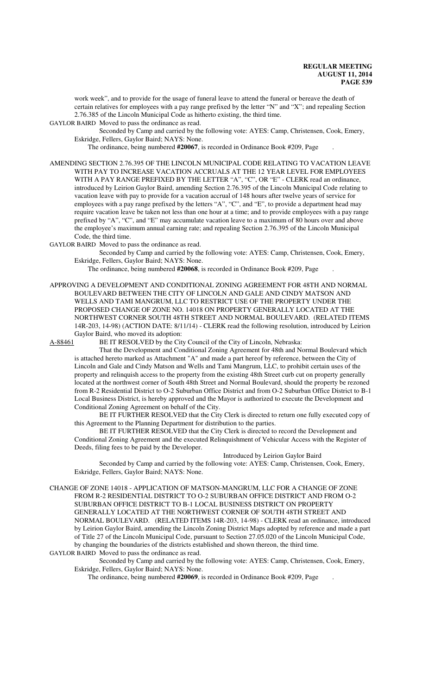work week", and to provide for the usage of funeral leave to attend the funeral or bereave the death of certain relatives for employees with a pay range prefixed by the letter "N" and "X"; and repealing Section 2.76.385 of the Lincoln Municipal Code as hitherto existing, the third time.

GAYLOR BAIRD Moved to pass the ordinance as read.

Seconded by Camp and carried by the following vote: AYES: Camp, Christensen, Cook, Emery, Eskridge, Fellers, Gaylor Baird; NAYS: None.

The ordinance, being numbered **#20067**, is recorded in Ordinance Book #209, Page .

AMENDING SECTION 2.76.395 OF THE LINCOLN MUNICIPAL CODE RELATING TO VACATION LEAVE WITH PAY TO INCREASE VACATION ACCRUALS AT THE 12 YEAR LEVEL FOR EMPLOYEES WITH A PAY RANGE PREFIXED BY THE LETTER "A", "C", OR "E" - CLERK read an ordinance, introduced by Leirion Gaylor Baird, amending Section 2.76.395 of the Lincoln Municipal Code relating to vacation leave with pay to provide for a vacation accrual of 148 hours after twelve years of service for employees with a pay range prefixed by the letters "A", "C", and "E", to provide a department head may require vacation leave be taken not less than one hour at a time; and to provide employees with a pay range prefixed by "A", "C", and "E" may accumulate vacation leave to a maximum of 80 hours over and above the employee's maximum annual earning rate; and repealing Section 2.76.395 of the Lincoln Municipal Code, the third time.

GAYLOR BAIRD Moved to pass the ordinance as read.

Seconded by Camp and carried by the following vote: AYES: Camp, Christensen, Cook, Emery, Eskridge, Fellers, Gaylor Baird; NAYS: None.

The ordinance, being numbered **#20068**, is recorded in Ordinance Book #209, Page .

APPROVING A DEVELOPMENT AND CONDITIONAL ZONING AGREEMENT FOR 48TH AND NORMAL BOULEVARD BETWEEN THE CITY OF LINCOLN AND GALE AND CINDY MATSON AND WELLS AND TAMI MANGRUM, LLC TO RESTRICT USE OF THE PROPERTY UNDER THE PROPOSED CHANGE OF ZONE NO. 14018 ON PROPERTY GENERALLY LOCATED AT THE NORTHWEST CORNER SOUTH 48TH STREET AND NORMAL BOULEVARD. (RELATED ITEMS 14R-203, 14-98) (ACTION DATE: 8/11/14) - CLERK read the following resolution, introduced by Leirion Gaylor Baird, who moved its adoption:

A-88461 BE IT RESOLVED by the City Council of the City of Lincoln, Nebraska:

That the Development and Conditional Zoning Agreement for 48th and Normal Boulevard which is attached hereto marked as Attachment "A" and made a part hereof by reference, between the City of Lincoln and Gale and Cindy Matson and Wells and Tami Mangrum, LLC, to prohibit certain uses of the property and relinquish access to the property from the existing 48th Street curb cut on property generally located at the northwest corner of South 48th Street and Normal Boulevard, should the property be rezoned from R-2 Residential District to O-2 Suburban Office District and from O-2 Suburban Office District to B-1 Local Business District, is hereby approved and the Mayor is authorized to execute the Development and Conditional Zoning Agreement on behalf of the City.

BE IT FURTHER RESOLVED that the City Clerk is directed to return one fully executed copy of this Agreement to the Planning Department for distribution to the parties.

BE IT FURTHER RESOLVED that the City Clerk is directed to record the Development and Conditional Zoning Agreement and the executed Relinquishment of Vehicular Access with the Register of Deeds, filing fees to be paid by the Developer.

Introduced by Leirion Gaylor Baird

Seconded by Camp and carried by the following vote: AYES: Camp, Christensen, Cook, Emery, Eskridge, Fellers, Gaylor Baird; NAYS: None.

CHANGE OF ZONE 14018 - APPLICATION OF MATSON-MANGRUM, LLC FOR A CHANGE OF ZONE FROM R-2 RESIDENTIAL DISTRICT TO O-2 SUBURBAN OFFICE DISTRICT AND FROM O-2 SUBURBAN OFFICE DISTRICT TO B-1 LOCAL BUSINESS DISTRICT ON PROPERTY GENERALLY LOCATED AT THE NORTHWEST CORNER OF SOUTH 48TH STREET AND NORMAL BOULEVARD. (RELATED ITEMS 14R-203, 14-98) - CLERK read an ordinance, introduced by Leirion Gaylor Baird, amending the Lincoln Zoning District Maps adopted by reference and made a part of Title 27 of the Lincoln Municipal Code, pursuant to Section 27.05.020 of the Lincoln Municipal Code, by changing the boundaries of the districts established and shown thereon, the third time. GAYLOR BAIRD Moved to pass the ordinance as read.

### Seconded by Camp and carried by the following vote: AYES: Camp, Christensen, Cook, Emery, Eskridge, Fellers, Gaylor Baird; NAYS: None.

The ordinance, being numbered **#20069**, is recorded in Ordinance Book #209, Page .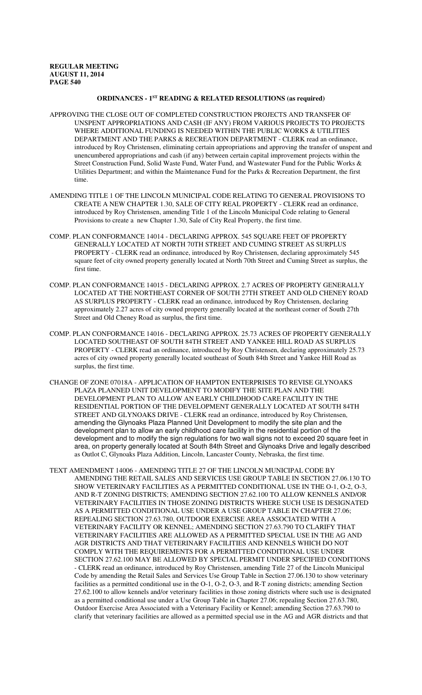## **ORDINANCES - 1ST READING & RELATED RESOLUTIONS (as required)**

- APPROVING THE CLOSE OUT OF COMPLETED CONSTRUCTION PROJECTS AND TRANSFER OF UNSPENT APPROPRIATIONS AND CASH (IF ANY) FROM VARIOUS PROJECTS TO PROJECTS WHERE ADDITIONAL FUNDING IS NEEDED WITHIN THE PUBLIC WORKS & UTILITIES DEPARTMENT AND THE PARKS & RECREATION DEPARTMENT - CLERK read an ordinance, introduced by Roy Christensen, eliminating certain appropriations and approving the transfer of unspent and unencumbered appropriations and cash (if any) between certain capital improvement projects within the Street Construction Fund, Solid Waste Fund, Water Fund, and Wastewater Fund for the Public Works & Utilities Department; and within the Maintenance Fund for the Parks & Recreation Department, the first time.
- AMENDING TITLE 1 OF THE LINCOLN MUNICIPAL CODE RELATING TO GENERAL PROVISIONS TO CREATE A NEW CHAPTER 1.30, SALE OF CITY REAL PROPERTY - CLERK read an ordinance, introduced by Roy Christensen, amending Title 1 of the Lincoln Municipal Code relating to General Provisions to create a new Chapter 1.30, Sale of City Real Property, the first time.
- COMP. PLAN CONFORMANCE 14014 DECLARING APPROX. 545 SQUARE FEET OF PROPERTY GENERALLY LOCATED AT NORTH 70TH STREET AND CUMING STREET AS SURPLUS PROPERTY - CLERK read an ordinance, introduced by Roy Christensen, declaring approximately 545 square feet of city owned property generally located at North 70th Street and Cuming Street as surplus, the first time.
- COMP. PLAN CONFORMANCE 14015 DECLARING APPROX. 2.7 ACRES OF PROPERTY GENERALLY LOCATED AT THE NORTHEAST CORNER OF SOUTH 27TH STREET AND OLD CHENEY ROAD AS SURPLUS PROPERTY - CLERK read an ordinance, introduced by Roy Christensen, declaring approximately 2.27 acres of city owned property generally located at the northeast corner of South 27th Street and Old Cheney Road as surplus, the first time.
- COMP. PLAN CONFORMANCE 14016 DECLARING APPROX. 25.73 ACRES OF PROPERTY GENERALLY LOCATED SOUTHEAST OF SOUTH 84TH STREET AND YANKEE HILL ROAD AS SURPLUS PROPERTY - CLERK read an ordinance, introduced by Roy Christensen, declaring approximately 25.73 acres of city owned property generally located southeast of South 84th Street and Yankee Hill Road as surplus, the first time.
- CHANGE OF ZONE 07018A APPLICATION OF HAMPTON ENTERPRISES TO REVISE GLYNOAKS PLAZA PLANNED UNIT DEVELOPMENT TO MODIFY THE SITE PLAN AND THE DEVELOPMENT PLAN TO ALLOW AN EARLY CHILDHOOD CARE FACILITY IN THE RESIDENTIAL PORTION OF THE DEVELOPMENT GENERALLY LOCATED AT SOUTH 84TH STREET AND GLYNOAKS DRIVE - CLERK read an ordinance, introduced by Roy Christensen, amending the Glynoaks Plaza Planned Unit Development to modify the site plan and the development plan to allow an early childhood care facility in the residential portion of the development and to modify the sign regulations for two wall signs not to exceed 20 square feet in area, on property generally located at South 84th Street and Glynoaks Drive and legally described as Outlot C, Glynoaks Plaza Addition, Lincoln, Lancaster County, Nebraska, the first time.
- TEXT AMENDMENT 14006 AMENDING TITLE 27 OF THE LINCOLN MUNICIPAL CODE BY AMENDING THE RETAIL SALES AND SERVICES USE GROUP TABLE IN SECTION 27.06.130 TO SHOW VETERINARY FACILITIES AS A PERMITTED CONDITIONAL USE IN THE O-1, O-2, O-3, AND R-T ZONING DISTRICTS; AMENDING SECTION 27.62.100 TO ALLOW KENNELS AND/OR VETERINARY FACILITIES IN THOSE ZONING DISTRICTS WHERE SUCH USE IS DESIGNATED AS A PERMITTED CONDITIONAL USE UNDER A USE GROUP TABLE IN CHAPTER 27.06; REPEALING SECTION 27.63.780, OUTDOOR EXERCISE AREA ASSOCIATED WITH A VETERINARY FACILITY OR KENNEL; AMENDING SECTION 27.63.790 TO CLARIFY THAT VETERINARY FACILITIES ARE ALLOWED AS A PERMITTED SPECIAL USE IN THE AG AND AGR DISTRICTS AND THAT VETERINARY FACILITIES AND KENNELS WHICH DO NOT COMPLY WITH THE REQUIREMENTS FOR A PERMITTED CONDITIONAL USE UNDER SECTION 27.62.100 MAY BE ALLOWED BY SPECIAL PERMIT UNDER SPECIFIED CONDITIONS - CLERK read an ordinance, introduced by Roy Christensen, amending Title 27 of the Lincoln Municipal Code by amending the Retail Sales and Services Use Group Table in Section 27.06.130 to show veterinary facilities as a permitted conditional use in the O-1, O-2, O-3, and R-T zoning districts; amending Section 27.62.100 to allow kennels and/or veterinary facilities in those zoning districts where such use is designated as a permitted conditional use under a Use Group Table in Chapter 27.06; repealing Section 27.63.780, Outdoor Exercise Area Associated with a Veterinary Facility or Kennel; amending Section 27.63.790 to clarify that veterinary facilities are allowed as a permitted special use in the AG and AGR districts and that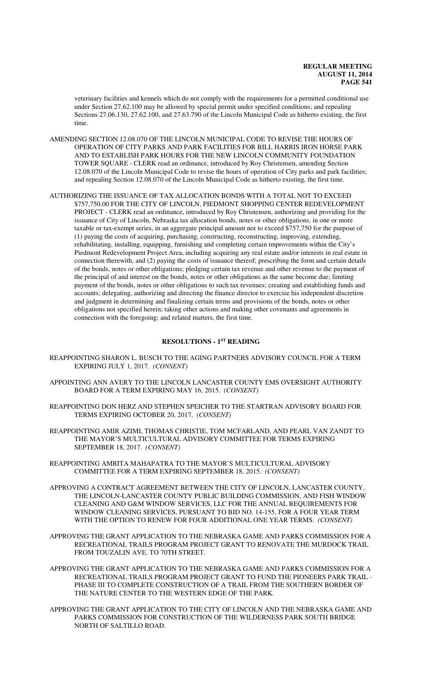veterinary facilities and kennels which do not comply with the requirements for a permitted conditional use under Section 27.62.100 may be allowed by special permit under specified conditions; and repealing Sections 27.06.130, 27.62.100, and 27.63.790 of the Lincoln Municipal Code as hitherto existing, the first time.

- AMENDING SECTION 12.08.070 OF THE LINCOLN MUNICIPAL CODE TO REVISE THE HOURS OF OPERATION OF CITY PARKS AND PARK FACILITIES FOR BILL HARRIS IRON HORSE PARK AND TO ESTABLISH PARK HOURS FOR THE NEW LINCOLN COMMUNITY FOUNDATION TOWER SQUARE - CLERK read an ordinance, introduced by Roy Christensen, amending Section 12.08.070 of the Lincoln Municipal Code to revise the hours of operation of City parks and park facilities; and repealing Section 12.08.070 of the Lincoln Municipal Code as hitherto existing, the first time.
- AUTHORIZING THE ISSUANCE OF TAX ALLOCATION BONDS WITH A TOTAL NOT TO EXCEED \$757,750.00 FOR THE CITY OF LINCOLN, PIEDMONT SHOPPING CENTER REDEVELOPMENT PROJECT - CLERK read an ordinance, introduced by Roy Christensen, authorizing and providing for the issuance of City of Lincoln, Nebraska tax allocation bonds, notes or other obligations, in one or more taxable or tax-exempt series, in an aggregate principal amount not to exceed \$757,750 for the purpose of (1) paying the costs of acquiring, purchasing, constructing, reconstructing, improving, extending, rehabilitating, installing, equipping, furnishing and completing certain improvements within the City's Piedmont Redevelopment Project Area, including acquiring any real estate and/or interests in real estate in connection therewith, and (2) paying the costs of issuance thereof; prescribing the form and certain details of the bonds, notes or other obligations; pledging certain tax revenue and other revenue to the payment of the principal of and interest on the bonds, notes or other obligations as the same become due; limiting payment of the bonds, notes or other obligations to such tax revenues; creating and establishing funds and accounts; delegating, authorizing and directing the finance director to exercise his independent discretion and judgment in determining and finalizing certain terms and provisions of the bonds, notes or other obligations not specified herein; taking other actions and making other covenants and agreements in connection with the foregoing; and related matters, the first time.

## **RESOLUTIONS - 1ST READING**

- REAPPOINTING SHARON L. BUSCH TO THE AGING PARTNERS ADVISORY COUNCIL FOR A TERM EXPIRING JULY 1, 2017. *(CONSENT)*
- APPOINTING ANN AVERY TO THE LINCOLN LANCASTER COUNTY EMS OVERSIGHT AUTHORITY BOARD FOR A TERM EXPIRING MAY 16, 2015. *(CONSENT)*
- REAPPOINTING DON HERZ AND STEPHEN SPEICHER TO THE STARTRAN ADVISORY BOARD FOR TERMS EXPIRING OCTOBER 20, 2017. *(CONSENT)*
- REAPPOINTING AMIR AZIMI, THOMAS CHRISTIE, TOM MCFARLAND, AND PEARL VAN ZANDT TO THE MAYOR'S MULTICULTURAL ADVISORY COMMITTEE FOR TERMS EXPIRING SEPTEMBER 18, 2017. *(CONSENT)*
- REAPPOINTING AMRITA MAHAPATRA TO THE MAYOR'S MULTICULTURAL ADVISORY COMMITTEE FOR A TERM EXPIRING SEPTEMBER 18, 2015. *(CONSENT)*
- APPROVING A CONTRACT AGREEMENT BETWEEN THE CITY OF LINCOLN, LANCASTER COUNTY, THE LINCOLN-LANCASTER COUNTY PUBLIC BUILDING COMMISSION, AND FISH WINDOW CLEANING AND G&M WINDOW SERVICES, LLC FOR THE ANNUAL REQUIREMENTS FOR WINDOW CLEANING SERVICES, PURSUANT TO BID NO. 14-155, FOR A FOUR YEAR TERM WITH THE OPTION TO RENEW FOR FOUR ADDITIONAL ONE YEAR TERMS. *(CONSENT)*
- APPROVING THE GRANT APPLICATION TO THE NEBRASKA GAME AND PARKS COMMISSION FOR A RECREATIONAL TRAILS PROGRAM PROJECT GRANT TO RENOVATE THE MURDOCK TRAIL FROM TOUZALIN AVE. TO 70TH STREET.
- APPROVING THE GRANT APPLICATION TO THE NEBRASKA GAME AND PARKS COMMISSION FOR A RECREATIONAL TRAILS PROGRAM PROJECT GRANT TO FUND THE PIONEERS PARK TRAIL - PHASE III TO COMPLETE CONSTRUCTION OF A TRAIL FROM THE SOUTHERN BORDER OF THE NATURE CENTER TO THE WESTERN EDGE OF THE PARK.
- APPROVING THE GRANT APPLICATION TO THE CITY OF LINCOLN AND THE NEBRASKA GAME AND PARKS COMMISSION FOR CONSTRUCTION OF THE WILDERNESS PARK SOUTH BRIDGE NORTH OF SALTILLO ROAD.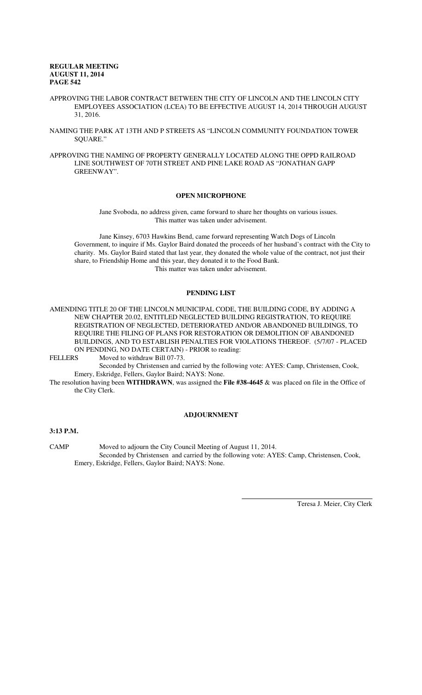- APPROVING THE LABOR CONTRACT BETWEEN THE CITY OF LINCOLN AND THE LINCOLN CITY EMPLOYEES ASSOCIATION (LCEA) TO BE EFFECTIVE AUGUST 14, 2014 THROUGH AUGUST 31, 2016.
- NAMING THE PARK AT 13TH AND P STREETS AS "LINCOLN COMMUNITY FOUNDATION TOWER SQUARE."
- APPROVING THE NAMING OF PROPERTY GENERALLY LOCATED ALONG THE OPPD RAILROAD LINE SOUTHWEST OF 70TH STREET AND PINE LAKE ROAD AS "JONATHAN GAPP GREENWAY".

## **OPEN MICROPHONE**

Jane Svoboda, no address given, came forward to share her thoughts on various issues. This matter was taken under advisement.

Jane Kinsey, 6703 Hawkins Bend, came forward representing Watch Dogs of Lincoln Government, to inquire if Ms. Gaylor Baird donated the proceeds of her husband's contract with the City to charity. Ms. Gaylor Baird stated that last year, they donated the whole value of the contract, not just their share, to Friendship Home and this year, they donated it to the Food Bank. This matter was taken under advisement.

## **PENDING LIST**

AMENDING TITLE 20 OF THE LINCOLN MUNICIPAL CODE, THE BUILDING CODE, BY ADDING A NEW CHAPTER 20.02, ENTITLED NEGLECTED BUILDING REGISTRATION, TO REQUIRE REGISTRATION OF NEGLECTED, DETERIORATED AND/OR ABANDONED BUILDINGS, TO REQUIRE THE FILING OF PLANS FOR RESTORATION OR DEMOLITION OF ABANDONED BUILDINGS, AND TO ESTABLISH PENALTIES FOR VIOLATIONS THEREOF. (5/7/07 - PLACED ON PENDING, NO DATE CERTAIN) - PRIOR to reading:<br>FELLERS Moved to withdraw Bill 07-73.

Moved to withdraw Bill 07-73.

Seconded by Christensen and carried by the following vote: AYES: Camp, Christensen, Cook, Emery, Eskridge, Fellers, Gaylor Baird; NAYS: None.

The resolution having been **WITHDRAWN**, was assigned the **File #38-4645** & was placed on file in the Office of the City Clerk.

#### **ADJOURNMENT**

## **3:13 P.M.**

CAMP Moved to adjourn the City Council Meeting of August 11, 2014. Seconded by Christensen and carried by the following vote: AYES: Camp, Christensen, Cook, Emery, Eskridge, Fellers, Gaylor Baird; NAYS: None.

 $\overline{a}$ 

Teresa J. Meier, City Clerk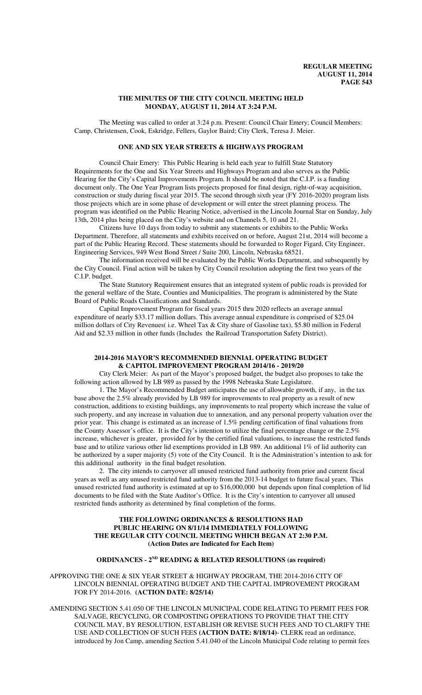### **THE MINUTES OF THE CITY COUNCIL MEETING HELD MONDAY, AUGUST 11, 2014 AT 3:24 P.M.**

The Meeting was called to order at 3:24 p.m. Present: Council Chair Emery; Council Members: Camp, Christensen, Cook, Eskridge, Fellers, Gaylor Baird; City Clerk, Teresa J. Meier.

## **ONE AND SIX YEAR STREETS & HIGHWAYS PROGRAM**

Council Chair Emery: This Public Hearing is held each year to fulfill State Statutory Requirements for the One and Six Year Streets and Highways Program and also serves as the Public Hearing for the City's Capital Improvements Program. It should be noted that the C.I.P. is a funding document only. The One Year Program lists projects proposed for final design, right-of-way acquisition, construction or study during fiscal year 2015. The second through sixth year (FY 2016-2020) program lists those projects which are in some phase of development or will enter the street planning process. The program was identified on the Public Hearing Notice, advertised in the Lincoln Journal Star on Sunday, July 13th, 2014 plus being placed on the City's website and on Channels 5, 10 and 21.

Citizens have 10 days from today to submit any statements or exhibits to the Public Works Department. Therefore, all statements and exhibits received on or before, August 21st, 2014 will become a part of the Public Hearing Record. These statements should be forwarded to Roger Figard, City Engineer, Engineering Services, 949 West Bond Street / Suite 200, Lincoln, Nebraska 68521.

The information received will be evaluated by the Public Works Department, and subsequently by the City Council. Final action will be taken by City Council resolution adopting the first two years of the C.I.P. budget.

The State Statutory Requirement ensures that an integrated system of public roads is provided for the general welfare of the State, Counties and Municipalities. The program is administered by the State Board of Public Roads Classifications and Standards.

Capital Improvement Program for fiscal years 2015 thru 2020 reflects an average annual expenditure of nearly \$33.17 million dollars. This average annual expenditure is comprised of \$25.04 million dollars of City Revenues( i.e. Wheel Tax & City share of Gasoline tax), \$5.80 million in Federal Aid and \$2.33 million in other funds (Includes the Railroad Transportation Safety District).

### **2014-2016 MAYOR'S RECOMMENDED BIENNIAL OPERATING BUDGET & CAPITOL IMPROVEMENT PROGRAM 2014/16 - 2019/20**

City Clerk Meier: As part of the Mayor's proposed budget, the budget also proposes to take the following action allowed by LB 989 as passed by the 1998 Nebraska State Legislature.

1. The Mayor's Recommended Budget anticipates the use of allowable growth, if any, in the tax base above the 2.5% already provided by LB 989 for improvements to real property as a result of new construction, additions to existing buildings, any improvements to real property which increase the value of such property, and any increase in valuation due to annexation, and any personal property valuation over the prior year. This change is estimated as an increase of 1.5% pending certification of final valuations from the County Assessor's office. It is the City's intention to utilize the final percentage change or the 2.5% increase, whichever is greater, provided for by the certified final valuations, to increase the restricted funds base and to utilize various other lid exemptions provided in LB 989. An additional 1% of lid authority can be authorized by a super majority (5) vote of the City Council. It is the Administration's intention to ask for this additional authority in the final budget resolution.

2. The city intends to carryover all unused restricted fund authority from prior and current fiscal years as well as any unused restricted fund authority from the 2013-14 budget to future fiscal years. This unused restricted fund authority is estimated at up to \$16,000,000 but depends upon final completion of lid documents to be filed with the State Auditor's Office. It is the City's intention to carryover all unused restricted funds authority as determined by final completion of the forms.

### **THE FOLLOWING ORDINANCES & RESOLUTIONS HAD PUBLIC HEARING ON 8/11/14 IMMEDIATELY FOLLOWING THE REGULAR CITY COUNCIL MEETING WHICH BEGAN AT 2:30 P.M. (Action Dates are Indicated for Each Item)**

### **ORDINANCES - 2ND READING & RELATED RESOLUTIONS (as required)**

APPROVING THE ONE & SIX YEAR STREET & HIGHWAY PROGRAM, THE 2014-2016 CITY OF LINCOLN BIENNIAL OPERATING BUDGET AND THE CAPITAL IMPROVEMENT PROGRAM FOR FY 2014-2016. **(ACTION DATE: 8/25/14)**

AMENDING SECTION 5.41.050 OF THE LINCOLN MUNICIPAL CODE RELATING TO PERMIT FEES FOR SALVAGE, RECYCLING, OR COMPOSTING OPERATIONS TO PROVIDE THAT THE CITY COUNCIL MAY, BY RESOLUTION, ESTABLISH OR REVISE SUCH FEES AND TO CLARIFY THE USE AND COLLECTION OF SUCH FEES **(ACTION DATE: 8/18/14)**- CLERK read an ordinance, introduced by Jon Camp, amending Section 5.41.040 of the Lincoln Municipal Code relating to permit fees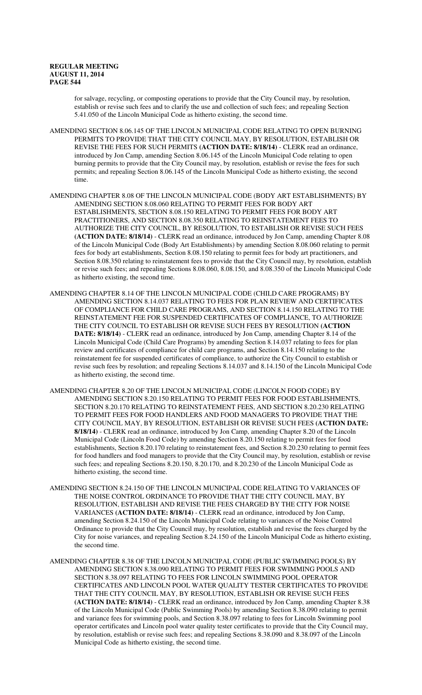for salvage, recycling, or composting operations to provide that the City Council may, by resolution, establish or revise such fees and to clarify the use and collection of such fees; and repealing Section 5.41.050 of the Lincoln Municipal Code as hitherto existing, the second time.

AMENDING SECTION 8.06.145 OF THE LINCOLN MUNICIPAL CODE RELATING TO OPEN BURNING PERMITS TO PROVIDE THAT THE CITY COUNCIL MAY, BY RESOLUTION, ESTABLISH OR REVISE THE FEES FOR SUCH PERMITS **(ACTION DATE: 8/18/14)** - CLERK read an ordinance, introduced by Jon Camp, amending Section 8.06.145 of the Lincoln Municipal Code relating to open burning permits to provide that the City Council may, by resolution, establish or revise the fees for such permits; and repealing Section 8.06.145 of the Lincoln Municipal Code as hitherto existing, the second time.

- AMENDING CHAPTER 8.08 OF THE LINCOLN MUNICIPAL CODE (BODY ART ESTABLISHMENTS) BY AMENDING SECTION 8.08.060 RELATING TO PERMIT FEES FOR BODY ART ESTABLISHMENTS, SECTION 8.08.150 RELATING TO PERMIT FEES FOR BODY ART PRACTITIONERS, AND SECTION 8.08.350 RELATING TO REINSTATEMENT FEES TO AUTHORIZE THE CITY COUNCIL, BY RESOLUTION, TO ESTABLISH OR REVISE SUCH FEES **(ACTION DATE: 8/18/14)** - CLERK read an ordinance, introduced by Jon Camp, amending Chapter 8.08 of the Lincoln Municipal Code (Body Art Establishments) by amending Section 8.08.060 relating to permit fees for body art establishments, Section 8.08.150 relating to permit fees for body art practitioners, and Section 8.08.350 relating to reinstatement fees to provide that the City Council may, by resolution, establish or revise such fees; and repealing Sections 8.08.060, 8.08.150, and 8.08.350 of the Lincoln Municipal Code as hitherto existing, the second time.
- AMENDING CHAPTER 8.14 OF THE LINCOLN MUNICIPAL CODE (CHILD CARE PROGRAMS) BY AMENDING SECTION 8.14.037 RELATING TO FEES FOR PLAN REVIEW AND CERTIFICATES OF COMPLIANCE FOR CHILD CARE PROGRAMS, AND SECTION 8.14.150 RELATING TO THE REINSTATEMENT FEE FOR SUSPENDED CERTIFICATES OF COMPLIANCE, TO AUTHORIZE THE CITY COUNCIL TO ESTABLISH OR REVISE SUCH FEES BY RESOLUTION **(ACTION DATE: 8/18/14)** - CLERK read an ordinance, introduced by Jon Camp, amending Chapter 8.14 of the Lincoln Municipal Code (Child Care Programs) by amending Section 8.14.037 relating to fees for plan review and certificates of compliance for child care programs, and Section 8.14.150 relating to the reinstatement fee for suspended certificates of compliance, to authorize the City Council to establish or revise such fees by resolution; and repealing Sections 8.14.037 and 8.14.150 of the Lincoln Municipal Code as hitherto existing, the second time.
- AMENDING CHAPTER 8.20 OF THE LINCOLN MUNICIPAL CODE (LINCOLN FOOD CODE) BY AMENDING SECTION 8.20.150 RELATING TO PERMIT FEES FOR FOOD ESTABLISHMENTS, SECTION 8.20.170 RELATING TO REINSTATEMENT FEES, AND SECTION 8.20.230 RELATING TO PERMIT FEES FOR FOOD HANDLERS AND FOOD MANAGERS TO PROVIDE THAT THE CITY COUNCIL MAY, BY RESOLUTION, ESTABLISH OR REVISE SUCH FEES **(ACTION DATE: 8/18/14)** - CLERK read an ordinance, introduced by Jon Camp, amending Chapter 8.20 of the Lincoln Municipal Code (Lincoln Food Code) by amending Section 8.20.150 relating to permit fees for food establishments, Section 8.20.170 relating to reinstatement fees, and Section 8.20.230 relating to permit fees for food handlers and food managers to provide that the City Council may, by resolution, establish or revise such fees; and repealing Sections 8.20.150, 8.20.170, and 8.20.230 of the Lincoln Municipal Code as hitherto existing, the second time.
- AMENDING SECTION 8.24.150 OF THE LINCOLN MUNICIPAL CODE RELATING TO VARIANCES OF THE NOISE CONTROL ORDINANCE TO PROVIDE THAT THE CITY COUNCIL MAY, BY RESOLUTION, ESTABLISH AND REVISE THE FEES CHARGED BY THE CITY FOR NOISE VARIANCES **(ACTION DATE: 8/18/14)** - CLERK read an ordinance, introduced by Jon Camp, amending Section 8.24.150 of the Lincoln Municipal Code relating to variances of the Noise Control Ordinance to provide that the City Council may, by resolution, establish and revise the fees charged by the City for noise variances, and repealing Section 8.24.150 of the Lincoln Municipal Code as hitherto existing, the second time.
- AMENDING CHAPTER 8.38 OF THE LINCOLN MUNICIPAL CODE (PUBLIC SWIMMING POOLS) BY AMENDING SECTION 8.38.090 RELATING TO PERMIT FEES FOR SWIMMING POOLS AND SECTION 8.38.097 RELATING TO FEES FOR LINCOLN SWIMMING POOL OPERATOR CERTIFICATES AND LINCOLN POOL WATER QUALITY TESTER CERTIFICATES TO PROVIDE THAT THE CITY COUNCIL MAY, BY RESOLUTION, ESTABLISH OR REVISE SUCH FEES **(ACTION DATE: 8/18/14)** - CLERK read an ordinance, introduced by Jon Camp, amending Chapter 8.38 of the Lincoln Municipal Code (Public Swimming Pools) by amending Section 8.38.090 relating to permit and variance fees for swimming pools, and Section 8.38.097 relating to fees for Lincoln Swimming pool operator certificates and Lincoln pool water quality tester certificates to provide that the City Council may, by resolution, establish or revise such fees; and repealing Sections 8.38.090 and 8.38.097 of the Lincoln Municipal Code as hitherto existing, the second time.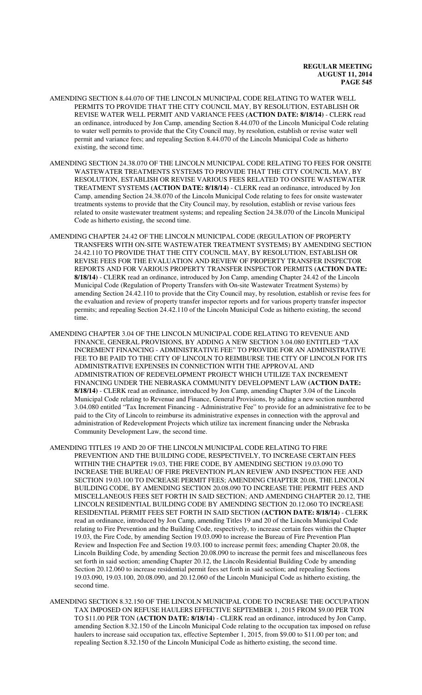- AMENDING SECTION 8.44.070 OF THE LINCOLN MUNICIPAL CODE RELATING TO WATER WELL PERMITS TO PROVIDE THAT THE CITY COUNCIL MAY, BY RESOLUTION, ESTABLISH OR REVISE WATER WELL PERMIT AND VARIANCE FEES **(ACTION DATE: 8/18/14)** - CLERK read an ordinance, introduced by Jon Camp, amending Section 8.44.070 of the Lincoln Municipal Code relating to water well permits to provide that the City Council may, by resolution, establish or revise water well permit and variance fees; and repealing Section 8.44.070 of the Lincoln Municipal Code as hitherto existing, the second time.
- AMENDING SECTION 24.38.070 OF THE LINCOLN MUNICIPAL CODE RELATING TO FEES FOR ONSITE WASTEWATER TREATMENTS SYSTEMS TO PROVIDE THAT THE CITY COUNCIL MAY, BY RESOLUTION, ESTABLISH OR REVISE VARIOUS FEES RELATED TO ONSITE WASTEWATER TREATMENT SYSTEMS **(ACTION DATE: 8/18/14)** - CLERK read an ordinance, introduced by Jon Camp, amending Section 24.38.070 of the Lincoln Municipal Code relating to fees for onsite wastewater treatments systems to provide that the City Council may, by resolution, establish or revise various fees related to onsite wastewater treatment systems; and repealing Section 24.38.070 of the Lincoln Municipal Code as hitherto existing, the second time.
- AMENDING CHAPTER 24.42 OF THE LINCOLN MUNICIPAL CODE (REGULATION OF PROPERTY TRANSFERS WITH ON-SITE WASTEWATER TREATMENT SYSTEMS) BY AMENDING SECTION 24.42.110 TO PROVIDE THAT THE CITY COUNCIL MAY, BY RESOLUTION, ESTABLISH OR REVISE FEES FOR THE EVALUATION AND REVIEW OF PROPERTY TRANSFER INSPECTOR REPORTS AND FOR VARIOUS PROPERTY TRANSFER INSPECTOR PERMITS **(ACTION DATE: 8/18/14)** - CLERK read an ordinance, introduced by Jon Camp, amending Chapter 24.42 of the Lincoln Municipal Code (Regulation of Property Transfers with On-site Wastewater Treatment Systems) by amending Section 24.42.110 to provide that the City Council may, by resolution, establish or revise fees for the evaluation and review of property transfer inspector reports and for various property transfer inspector permits; and repealing Section 24.42.110 of the Lincoln Municipal Code as hitherto existing, the second time.
- AMENDING CHAPTER 3.04 OF THE LINCOLN MUNICIPAL CODE RELATING TO REVENUE AND FINANCE, GENERAL PROVISIONS, BY ADDING A NEW SECTION 3.04.080 ENTITLED "TAX INCREMENT FINANCING - ADMINISTRATIVE FEE" TO PROVIDE FOR AN ADMINISTRATIVE FEE TO BE PAID TO THE CITY OF LINCOLN TO REIMBURSE THE CITY OF LINCOLN FOR ITS ADMINISTRATIVE EXPENSES IN CONNECTION WITH THE APPROVAL AND ADMINISTRATION OF REDEVELOPMENT PROJECT WHICH UTILIZE TAX INCREMENT FINANCING UNDER THE NEBRASKA COMMUNITY DEVELOPMENT LAW **(ACTION DATE: 8/18/14)** - CLERK read an ordinance, introduced by Jon Camp, amending Chapter 3.04 of the Lincoln Municipal Code relating to Revenue and Finance, General Provisions, by adding a new section numbered 3.04.080 entitled "Tax Increment Financing - Administrative Fee" to provide for an administrative fee to be paid to the City of Lincoln to reimburse its administrative expenses in connection with the approval and administration of Redevelopment Projects which utilize tax increment financing under the Nebraska Community Development Law, the second time.
- AMENDING TITLES 19 AND 20 OF THE LINCOLN MUNICIPAL CODE RELATING TO FIRE PREVENTION AND THE BUILDING CODE, RESPECTIVELY, TO INCREASE CERTAIN FEES WITHIN THE CHAPTER 19.03, THE FIRE CODE, BY AMENDING SECTION 19.03.090 TO INCREASE THE BUREAU OF FIRE PREVENTION PLAN REVIEW AND INSPECTION FEE AND SECTION 19.03.100 TO INCREASE PERMIT FEES; AMENDING CHAPTER 20.08, THE LINCOLN BUILDING CODE, BY AMENDING SECTION 20.08.090 TO INCREASE THE PERMIT FEES AND MISCELLANEOUS FEES SET FORTH IN SAID SECTION; AND AMENDING CHAPTER 20.12, THE LINCOLN RESIDENTIAL BUILDING CODE BY AMENDING SECTION 20.12.060 TO INCREASE RESIDENTIAL PERMIT FEES SET FORTH IN SAID SECTION **(ACTION DATE: 8/18/14)** - CLERK read an ordinance, introduced by Jon Camp, amending Titles 19 and 20 of the Lincoln Municipal Code relating to Fire Prevention and the Building Code, respectively, to increase certain fees within the Chapter 19.03, the Fire Code, by amending Section 19.03.090 to increase the Bureau of Fire Prevention Plan Review and Inspection Fee and Section 19.03.100 to increase permit fees; amending Chapter 20.08, the Lincoln Building Code, by amending Section 20.08.090 to increase the permit fees and miscellaneous fees set forth in said section; amending Chapter 20.12, the Lincoln Residential Building Code by amending Section 20.12.060 to increase residential permit fees set forth in said section; and repealing Sections 19.03.090, 19.03.100, 20.08.090, and 20.12.060 of the Lincoln Municipal Code as hitherto existing, the second time.
- AMENDING SECTION 8.32.150 OF THE LINCOLN MUNICIPAL CODE TO INCREASE THE OCCUPATION TAX IMPOSED ON REFUSE HAULERS EFFECTIVE SEPTEMBER 1, 2015 FROM \$9.00 PER TON TO \$11.00 PER TON **(ACTION DATE: 8/18/14)** - CLERK read an ordinance, introduced by Jon Camp, amending Section 8.32.150 of the Lincoln Municipal Code relating to the occupation tax imposed on refuse haulers to increase said occupation tax, effective September 1, 2015, from \$9.00 to \$11.00 per ton; and repealing Section 8.32.150 of the Lincoln Municipal Code as hitherto existing, the second time.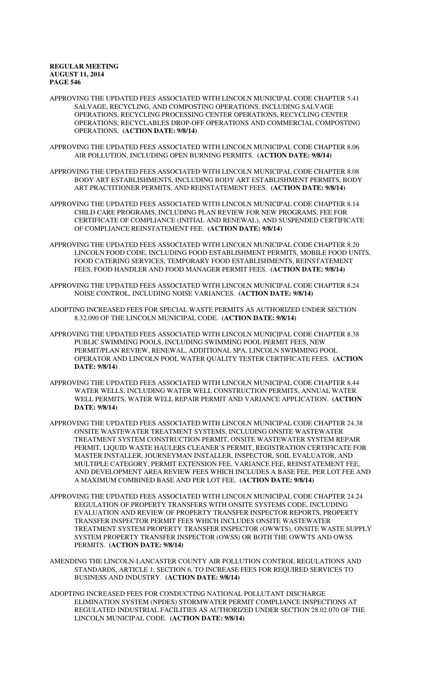APPROVING THE UPDATED FEES ASSOCIATED WITH LINCOLN MUNICIPAL CODE CHAPTER 5.41 SALVAGE, RECYCLING, AND COMPOSTING OPERATIONS, INCLUDING SALVAGE OPERATIONS, RECYCLING PROCESSING CENTER OPERATIONS, RECYCLING CENTER OPERATIONS, RECYCLABLES DROP-OFF OPERATIONS AND COMMERCIAL COMPOSTING OPERATIONS. **(ACTION DATE: 9/8/14)**

- APPROVING THE UPDATED FEES ASSOCIATED WITH LINCOLN MUNICIPAL CODE CHAPTER 8.06 AIR POLLUTION, INCLUDING OPEN BURNING PERMITS. **(ACTION DATE: 9/8/14)**
- APPROVING THE UPDATED FEES ASSOCIATED WITH LINCOLN MUNICIPAL CODE CHAPTER 8.08 BODY ART ESTABLISHMENTS, INCLUDING BODY ART ESTABLISHMENT PERMITS, BODY ART PRACTITIONER PERMITS, AND REINSTATEMENT FEES. **(ACTION DATE: 9/8/14)**
- APPROVING THE UPDATED FEES ASSOCIATED WITH LINCOLN MUNICIPAL CODE CHAPTER 8.14 CHILD CARE PROGRAMS, INCLUDING PLAN REVIEW FOR NEW PROGRAMS, FEE FOR CERTIFICATE OF COMPLIANCE (INITIAL AND RENEWAL), AND SUSPENDED CERTIFICATE OF COMPLIANCE REINSTATEMENT FEE. **(ACTION DATE: 9/8/14)**
- APPROVING THE UPDATED FEES ASSOCIATED WITH LINCOLN MUNICIPAL CODE CHAPTER 8.20 LINCOLN FOOD CODE, INCLUDING FOOD ESTABLISHMENT PERMITS, MOBILE FOOD UNITS, FOOD CATERING SERVICES, TEMPORARY FOOD ESTABLISHMENTS, REINSTATEMENT FEES, FOOD HANDLER AND FOOD MANAGER PERMIT FEES. **(ACTION DATE: 9/8/14)**
- APPROVING THE UPDATED FEES ASSOCIATED WITH LINCOLN MUNICIPAL CODE CHAPTER 8.24 NOISE CONTROL, INCLUDING NOISE VARIANCES. **(ACTION DATE: 9/8/14)**
- ADOPTING INCREASED FEES FOR SPECIAL WASTE PERMITS AS AUTHORIZED UNDER SECTION 8.32.090 OF THE LINCOLN MUNICIPAL CODE. **(ACTION DATE: 9/8/14)**
- APPROVING THE UPDATED FEES ASSOCIATED WITH LINCOLN MUNICIPAL CODE CHAPTER 8.38 PUBLIC SWIMMING POOLS, INCLUDING SWIMMING POOL PERMIT FEES, NEW PERMIT/PLAN REVIEW, RENEWAL, ADDITIONAL SPA, LINCOLN SWIMMING POOL OPERATOR AND LINCOLN POOL WATER QUALITY TESTER CERTIFICATE FEES. **(ACTION DATE: 9/8/14)**
- APPROVING THE UPDATED FEES ASSOCIATED WITH LINCOLN MUNICIPAL CODE CHAPTER 8.44 WATER WELLS, INCLUDING WATER WELL CONSTRUCTION PERMITS, ANNUAL WATER WELL PERMITS, WATER WELL REPAIR PERMIT AND VARIANCE APPLICATION. **(ACTION DATE: 9/8/14)**
- APPROVING THE UPDATED FEES ASSOCIATED WITH LINCOLN MUNICIPAL CODE CHAPTER 24.38 ONSITE WASTEWATER TREATMENT SYSTEMS, INCLUDING ONSITE WASTEWATER TREATMENT SYSTEM CONSTRUCTION PERMIT, ONSITE WASTEWATER SYSTEM REPAIR PERMIT, LIQUID WASTE HAULERS CLEANER'S PERMIT, REGISTRATION CERTIFICATE FOR MASTER INSTALLER, JOURNEYMAN INSTALLER, INSPECTOR, SOIL EVALUATOR, AND MULTIPLE CATEGORY, PERMIT EXTENSION FEE, VARIANCE FEE, REINSTATEMENT FEE, AND DEVELOPMENT AREA REVIEW FEES WHICH INCLUDES A BASE FEE, PER LOT FEE AND A MAXIMUM COMBINED BASE AND PER LOT FEE. **(ACTION DATE: 9/8/14)**
- APPROVING THE UPDATED FEES ASSOCIATED WITH LINCOLN MUNICIPAL CODE CHAPTER 24.24 REGULATION OF PROPERTY TRANSFERS WITH ONSITE SYSTEMS CODE, INCLUDING EVALUATION AND REVIEW OF PROPERTY TRANSFER INSPECTOR REPORTS, PROPERTY TRANSFER INSPECTOR PERMIT FEES WHICH INCLUDES ONSITE WASTEWATER TREATMENT SYSTEM PROPERTY TRANSFER INSPECTOR (OWWTS), ONSITE WASTE SUPPLY SYSTEM PROPERTY TRANSFER INSPECTOR (OWSS) OR BOTH THE OWWTS AND OWSS PERMITS. **(ACTION DATE: 9/8/14)**
- AMENDING THE LINCOLN-LANCASTER COUNTY AIR POLLUTION CONTROL REGULATIONS AND STANDARDS, ARTICLE 1, SECTION 6, TO INCREASE FEES FOR REQUIRED SERVICES TO BUSINESS AND INDUSTRY. **(ACTION DATE: 9/8/14)**
- ADOPTING INCREASED FEES FOR CONDUCTING NATIONAL POLLUTANT DISCHARGE ELIMINATION SYSTEM (NPDES) STORMWATER PERMIT COMPLIANCE INSPECTIONS AT REGULATED INDUSTRIAL FACILITIES AS AUTHORIZED UNDER SECTION 28.02.070 OF THE LINCOLN MUNICIPAL CODE. **(ACTION DATE: 9/8/14)**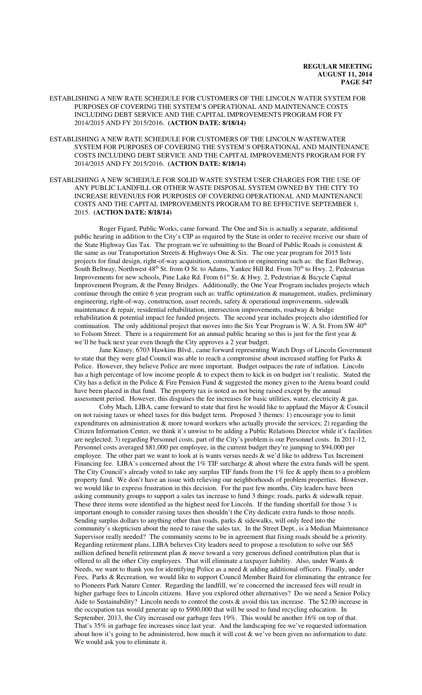- ESTABLISHING A NEW RATE SCHEDULE FOR CUSTOMERS OF THE LINCOLN WATER SYSTEM FOR PURPOSES OF COVERING THE SYSTEM'S OPERATIONAL AND MAINTENANCE COSTS INCLUDING DEBT SERVICE AND THE CAPITAL IMPROVEMENTS PROGRAM FOR FY 2014/2015 AND FY 2015/2016. **(ACTION DATE: 8/18/14)**
- ESTABLISHING A NEW RATE SCHEDULE FOR CUSTOMERS OF THE LINCOLN WASTEWATER SYSTEM FOR PURPOSES OF COVERING THE SYSTEM'S OPERATIONAL AND MAINTENANCE COSTS INCLUDING DEBT SERVICE AND THE CAPITAL IMPROVEMENTS PROGRAM FOR FY 2014/2015 AND FY 2015/2016. **(ACTION DATE: 8/18/14)**

ESTABLISHING A NEW SCHEDULE FOR SOLID WASTE SYSTEM USER CHARGES FOR THE USE OF ANY PUBLIC LANDFILL OR OTHER WASTE DISPOSAL SYSTEM OWNED BY THE CITY TO INCREASE REVENUES FOR PURPOSES OF COVERING OPERATIONAL AND MAINTENANCE COSTS AND THE CAPITAL IMPROVEMENTS PROGRAM TO BE EFFECTIVE SEPTEMBER 1, 2015. **(ACTION DATE: 8/18/14)**

Roger Figard, Public Works, came forward. The One and Six is actually a separate, additional public hearing in addition to the City's CIP as required by the State in order to receive receive our share of the State Highway Gas Tax. The program we're submitting to the Board of Public Roads is consistent  $\&$ the same as our Transportation Streets & Highways One  $\&$  Six. The one year program for 2015 lists projects for final design, right-of-way acquisition, construction or engineering such as: the East Beltway, South Beltway, Northwest 48<sup>th</sup> St. from O St. to Adams, Yankee Hill Rd. From 70<sup>th</sup> to Hwy. 2, Pedestrian Improvements for new schools, Pine Lake Rd. From 61<sup>st</sup> St. & Hwy. 2, Pedestrian & Bicycle Capital Improvement Program, & the Penny Bridges. Additionally, the One Year Program includes projects which continue through the entire 6 year program such as: traffic optimization & management, studies, preliminary engineering, right-of-way, construction, asset records, safety & operational improvements, sidewalk maintenance  $\&$  repair, residential rehabilitation, intersection improvements, roadway  $\&$  bridge rehabilitation & potential impact fee funded projects. The second year includes projects also identified for continuation. The only additional project that moves into the Six Year Program is W. A St. From SW 40<sup>th</sup> to Folsom Street. There is a requirement for an annual public hearing so this is just for the first year  $\&$ we'll be back next year even though the City approves a 2 year budget.

Jane Kinsey, 6703 Hawkins Blvd., came forward representing Watch Dogs of Lincoln Government to state that they were glad Council was able to reach a compromise about increased staffing for Parks & Police. However, they believe Police are more important. Budget outpaces the rate of inflation. Lincoln has a high percentage of low income people & to expect them to kick in on budget isn't realistic. Stated the City has a deficit in the Police & Fire Pension Fund & suggested the money given to the Arena board could have been placed in that fund. The property tax is noted as not being raised except by the annual assessment period. However, this disguises the fee increases for basic utilities, water, electricity  $\&$  gas.

Coby Mach, LIBA, came forward to state that first he would like to applaud the Mayor & Council on not raising taxes or wheel taxes for this budget term. Proposed 3 themes: 1) encourage you to limit expenditures on administration & more toward workers who actually provide the services; 2) regarding the Citizen Information Center, we think it's unwise to be adding a Public Relations Director while it's facilities are neglected; 3) regarding Personnel costs, part of the City's problem is our Personnel costs. In 2011-12, Personnel costs averaged \$81,000 per employee, in the current budget they're jumping to \$94,000 per employee. The other part we want to look at is wants versus needs & we'd like to address Tax Increment Financing fee. LIBA's concerned about the 1% TIF surcharge & about where the extra funds will be spent. The City Council's already voted to take any surplus TIF funds from the 1% fee & apply them to a problem property fund. We don't have an issue with relieving our neighborhoods of problem properties. However, we would like to express frustration in this decision. For the past few months, City leaders have been asking community groups to support a sales tax increase to fund 3 things: roads, parks & sidewalk repair. These three items were identified as the highest need for Lincoln. If the funding shortfall for those 3 is important enough to consider raising taxes then shouldn't the City dedicate extra funds to those needs. Sending surplus dollars to anything other than roads, parks & sidewalks, will only feed into the community's skepticism about the need to raise the sales tax. In the Street Dept., is a Median Maintenance Supervisor really needed? The community seems to be in agreement that fixing roads should be a priority. Regarding retirement plans, LIBA believes City leaders need to propose a resolution to solve our \$65 million defined benefit retirement plan & move toward a very generous defined contribution plan that is offered to all the other City employees. That will eliminate a taxpayer liability. Also, under Wants  $\&$ Needs, we want to thank you for identifying Police as a need & adding additional officers. Finally, under Fees, Parks & Recreation, we would like to support Council Member Baird for eliminating the entrance fee to Pioneers Park Nature Center. Regarding the landfill, we're concerned the increased fees will result in higher garbage fees to Lincoln citizens. Have you explored other alternatives? Do we need a Senior Policy Aide to Sustainability? Lincoln needs to control the costs & avoid this tax increase. The \$2.00 increase in the occupation tax would generate up to \$900,000 that will be used to fund recycling education. In September, 2013, the City increased our garbage fees 19%. This would be another 16% on top of that. That's 35% in garbage fee increases since last year. And the landscaping fee we've requested information about how it's going to be administered, how much it will cost & we've been given no information to date. We would ask you to eliminate it.